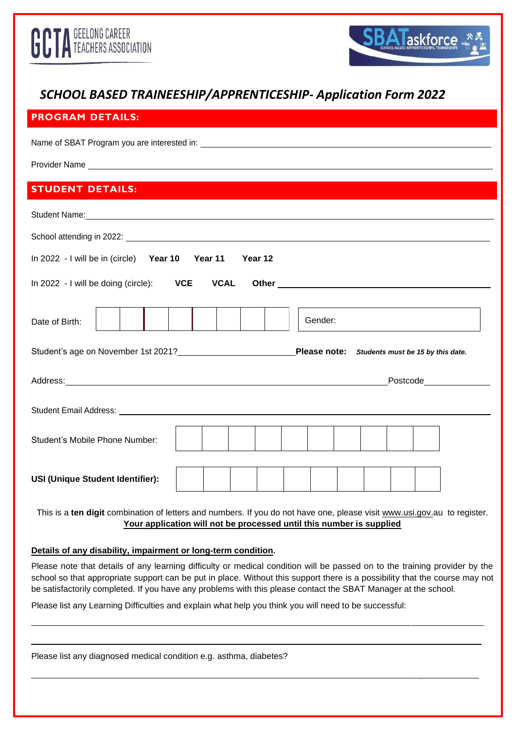



# *SCHOOL BASED TRAINEESHIP/APPRENTICESHIP- Application Form 2022*

| <b>PROGRAM DETAILS:</b>                                                                                                                                                                                                                                                        |
|--------------------------------------------------------------------------------------------------------------------------------------------------------------------------------------------------------------------------------------------------------------------------------|
|                                                                                                                                                                                                                                                                                |
| Provider Name et al. 2006 and 2007 and 2008 and 2008 and 2008 and 2008 and 2008 and 2008 and 2008 and 2008 and                                                                                                                                                                 |
| <b>STUDENT DETAILS:</b>                                                                                                                                                                                                                                                        |
| Student Name: No. 2006. The Contract of the Contract of the Contract of the Contract of the Contract of the Contract of the Contract of the Contract of the Contract of the Contract of the Contract of the Contract of the Co                                                 |
|                                                                                                                                                                                                                                                                                |
| In 2022 - I will be in (circle) Year 10 Year 11<br>Year 12                                                                                                                                                                                                                     |
| In 2022 - I will be doing (circle): VCE VCAL<br>Other example and the state of the state of the state of the state of the state of the state of the state of the state of the state of the state of the state of the state of the state of the state of the state of the state |
| Gender:<br>Date of Birth:                                                                                                                                                                                                                                                      |
| Student's age on November 1st 2021? Please note: Students must be 15 by this date.                                                                                                                                                                                             |
|                                                                                                                                                                                                                                                                                |
|                                                                                                                                                                                                                                                                                |
| Student's Mobile Phone Number:                                                                                                                                                                                                                                                 |
| <b>USI (Unique Student Identifier):</b>                                                                                                                                                                                                                                        |

This is a **ten digit** combination of letters and numbers. If you do not have one, please visit [www.usi.gov.au](http://www.usi.gov/) to register. **Your application will not be processed until this number is supplied**

**Details of any disability, impairment or long-term condition.**

Please note that details of any learning difficulty or medical condition will be passed on to the training provider by the school so that appropriate support can be put in place. Without this support there is a possibility that the course may not be satisfactorily completed. If you have any problems with this please contact the SBAT Manager at the school.

Please list any Learning Difficulties and explain what help you think you will need to be successful:

Please list any diagnosed medical condition e.g. asthma, diabetes?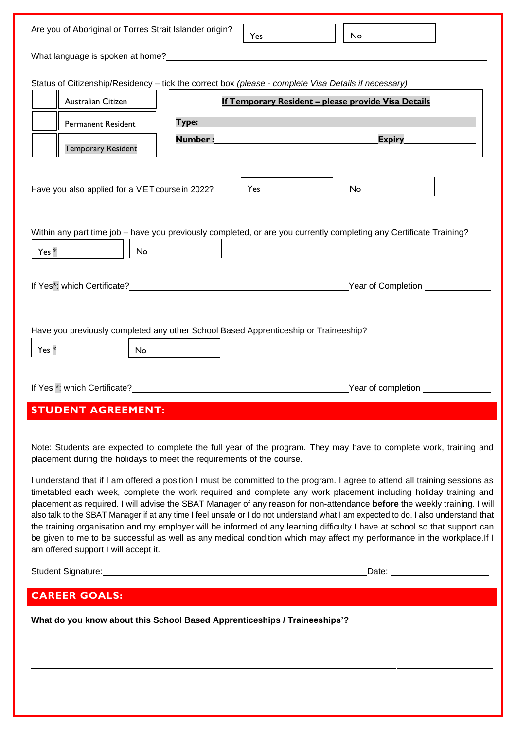| Are you of Aboriginal or Torres Strait Islander origin?                                                        | No<br>Yes                                                                                                                                                                                                                                                                                                                                                                                                                                                                                                                                                                                                                                                                                                                                                                                                                                                                                        |
|----------------------------------------------------------------------------------------------------------------|--------------------------------------------------------------------------------------------------------------------------------------------------------------------------------------------------------------------------------------------------------------------------------------------------------------------------------------------------------------------------------------------------------------------------------------------------------------------------------------------------------------------------------------------------------------------------------------------------------------------------------------------------------------------------------------------------------------------------------------------------------------------------------------------------------------------------------------------------------------------------------------------------|
| What language is spoken at home? The state of the state of the state of the state of the state of the state of |                                                                                                                                                                                                                                                                                                                                                                                                                                                                                                                                                                                                                                                                                                                                                                                                                                                                                                  |
| Status of Citizenship/Residency - tick the correct box (please - complete Visa Details if necessary)           |                                                                                                                                                                                                                                                                                                                                                                                                                                                                                                                                                                                                                                                                                                                                                                                                                                                                                                  |
| Australian Citizen                                                                                             | If Temporary Resident - please provide Visa Details                                                                                                                                                                                                                                                                                                                                                                                                                                                                                                                                                                                                                                                                                                                                                                                                                                              |
| Type:<br><b>Permanent Resident</b>                                                                             |                                                                                                                                                                                                                                                                                                                                                                                                                                                                                                                                                                                                                                                                                                                                                                                                                                                                                                  |
|                                                                                                                | Number: William State State State State State State State State State State State State State State State State State State State State State State State State State State State State State State State State State State St<br><b>Expiry Expirition</b>                                                                                                                                                                                                                                                                                                                                                                                                                                                                                                                                                                                                                                       |
| <b>Temporary Resident</b>                                                                                      |                                                                                                                                                                                                                                                                                                                                                                                                                                                                                                                                                                                                                                                                                                                                                                                                                                                                                                  |
| Have you also applied for a VET course in 2022?                                                                | No<br>Yes                                                                                                                                                                                                                                                                                                                                                                                                                                                                                                                                                                                                                                                                                                                                                                                                                                                                                        |
|                                                                                                                | Within any part time job - have you previously completed, or are you currently completing any Certificate Training?                                                                                                                                                                                                                                                                                                                                                                                                                                                                                                                                                                                                                                                                                                                                                                              |
| Yes *<br>No                                                                                                    |                                                                                                                                                                                                                                                                                                                                                                                                                                                                                                                                                                                                                                                                                                                                                                                                                                                                                                  |
|                                                                                                                |                                                                                                                                                                                                                                                                                                                                                                                                                                                                                                                                                                                                                                                                                                                                                                                                                                                                                                  |
|                                                                                                                |                                                                                                                                                                                                                                                                                                                                                                                                                                                                                                                                                                                                                                                                                                                                                                                                                                                                                                  |
|                                                                                                                |                                                                                                                                                                                                                                                                                                                                                                                                                                                                                                                                                                                                                                                                                                                                                                                                                                                                                                  |
|                                                                                                                |                                                                                                                                                                                                                                                                                                                                                                                                                                                                                                                                                                                                                                                                                                                                                                                                                                                                                                  |
| Have you previously completed any other School Based Apprenticeship or Traineeship?                            |                                                                                                                                                                                                                                                                                                                                                                                                                                                                                                                                                                                                                                                                                                                                                                                                                                                                                                  |
| Yes *<br>No                                                                                                    |                                                                                                                                                                                                                                                                                                                                                                                                                                                                                                                                                                                                                                                                                                                                                                                                                                                                                                  |
|                                                                                                                |                                                                                                                                                                                                                                                                                                                                                                                                                                                                                                                                                                                                                                                                                                                                                                                                                                                                                                  |
| If Yes *: which Certificate?                                                                                   | Year of completion                                                                                                                                                                                                                                                                                                                                                                                                                                                                                                                                                                                                                                                                                                                                                                                                                                                                               |
| <b>STUDENT AGREEMENT:</b>                                                                                      |                                                                                                                                                                                                                                                                                                                                                                                                                                                                                                                                                                                                                                                                                                                                                                                                                                                                                                  |
| placement during the holidays to meet the requirements of the course.<br>am offered support I will accept it.  | Note: Students are expected to complete the full year of the program. They may have to complete work, training and<br>I understand that if I am offered a position I must be committed to the program. I agree to attend all training sessions as<br>timetabled each week, complete the work required and complete any work placement including holiday training and<br>placement as required. I will advise the SBAT Manager of any reason for non-attendance before the weekly training. I will<br>also talk to the SBAT Manager if at any time I feel unsafe or I do not understand what I am expected to do. I also understand that<br>the training organisation and my employer will be informed of any learning difficulty I have at school so that support can<br>be given to me to be successful as well as any medical condition which may affect my performance in the workplace. If I |
|                                                                                                                | Date: <u>Date:</u>                                                                                                                                                                                                                                                                                                                                                                                                                                                                                                                                                                                                                                                                                                                                                                                                                                                                               |
| <b>CAREER GOALS:</b>                                                                                           |                                                                                                                                                                                                                                                                                                                                                                                                                                                                                                                                                                                                                                                                                                                                                                                                                                                                                                  |
|                                                                                                                |                                                                                                                                                                                                                                                                                                                                                                                                                                                                                                                                                                                                                                                                                                                                                                                                                                                                                                  |
| What do you know about this School Based Apprenticeships / Traineeships'?                                      |                                                                                                                                                                                                                                                                                                                                                                                                                                                                                                                                                                                                                                                                                                                                                                                                                                                                                                  |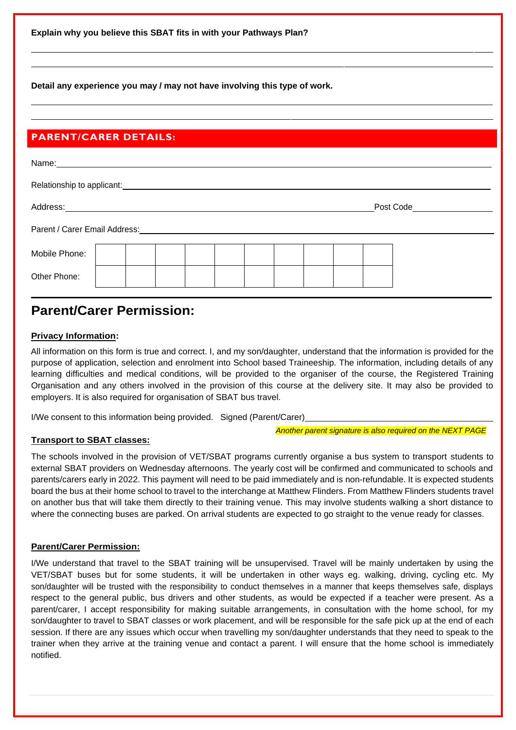**Explain why you believe this SBAT fits in with your Pathways Plan?**

**Detail any experience you may / may not have involving this type of work.**

### **PARENT/CARER DETAILS:**

| Name: __________                          |  |  |  |  |  |           |  |
|-------------------------------------------|--|--|--|--|--|-----------|--|
| Relationship to applicant: ______________ |  |  |  |  |  |           |  |
| Address:                                  |  |  |  |  |  | Post Code |  |
| Parent / Carer Email Address: _________   |  |  |  |  |  |           |  |
| Mobile Phone:                             |  |  |  |  |  |           |  |
| Other Phone:                              |  |  |  |  |  |           |  |

## **Parent/Carer Permission:**

### **Privacy Information:**

All information on this form is true and correct. I, and my son/daughter, understand that the information is provided for the purpose of application, selection and enrolment into School based Traineeship. The information, including details of any learning difficulties and medical conditions, will be provided to the organiser of the course, the Registered Training Organisation and any others involved in the provision of this course at the delivery site. It may also be provided to employers. It is also required for organisation of SBAT bus travel.

I/We consent to this information being provided. Signed (Parent/Carer)

*Another parent signature is also required on the NEXT PAGE*

### **Transport to SBAT classes:**

The schools involved in the provision of VET/SBAT programs currently organise a bus system to transport students to external SBAT providers on Wednesday afternoons. The yearly cost will be confirmed and communicated to schools and parents/carers early in 2022. This payment will need to be paid immediately and is non-refundable. It is expected students board the bus at their home school to travel to the interchange at Matthew Flinders. From Matthew Flinders students travel on another bus that will take them directly to their training venue. This may involve students walking a short distance to where the connecting buses are parked. On arrival students are expected to go straight to the venue ready for classes.

### **Parent/Carer Permission:**

I/We understand that travel to the SBAT training will be unsupervised. Travel will be mainly undertaken by using the VET/SBAT buses but for some students, it will be undertaken in other ways eg. walking, driving, cycling etc. My son/daughter will be trusted with the responsibility to conduct themselves in a manner that keeps themselves safe, displays respect to the general public, bus drivers and other students, as would be expected if a teacher were present. As a parent/carer, I accept responsibility for making suitable arrangements, in consultation with the home school, for my son/daughter to travel to SBAT classes or work placement, and will be responsible for the safe pick up at the end of each session. If there are any issues which occur when travelling my son/daughter understands that they need to speak to the trainer when they arrive at the training venue and contact a parent. I will ensure that the home school is immediately notified.